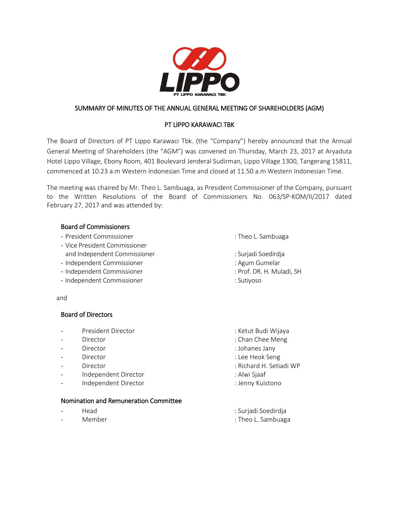

# SUMMARY OF MINUTES OF THE ANNUAL GENERAL MEETING OF SHAREHOLDERS (AGM)

# PT LIPPO KARAWACI TBK

The Board of Directors of PT Lippo Karawaci Tbk. (the "Company") hereby announced that the Annual General Meeting of Shareholders (the "AGM") was convened on Thursday, March 23, 2017 at Aryaduta Hotel Lippo Village, Ebony Room, 401 Boulevard Jenderal Sudirman, Lippo Village 1300, Tangerang 15811, commenced at 10.23 a.m Western Indonesian Time and closed at 11.50 a.m Western Indonesian Time.

The meeting was chaired by Mr. Theo L. Sambuaga, as President Commissioner of the Company, pursuant to the Written Resolutions of the Board of Commissioners No. 063/SP-KOM/II/2017 dated February 27, 2017 and was attended by:

#### Board of Commissioners

- President Commissioner : Theo L. Sambuaga
- Vice President Commissioner and Independent Commissioner in the state of the Surjadi Soedirdja
- Independent Commissioner : Agum Gumelar
- Independent Commissioner **independent Commissioner** in the state of the state of the state of the state of the state of the state of the state of the state of the state of the state of the state of the state of the state
- Independent Commissioner : Sutiyoso

and

#### Board of Directors

- President Director in the control of the set of the Second Second President Director
- 
- 
- 
- 
- Independent Director in the state of the state of the state of the state of the state of the state of the state of the state of the state of the state of the state of the state of the state of the state of the state of the
- Independent Director in the state of the state of the Independent Director

# Nomination and Remuneration Committee

- 
- 
- 
- 
- 
- 
- 
- 
- Director **in the Director** in the Mengine of the Mengine of the Mengine of the Mengine of the Mengine of the Mengine of the Mengine of the Mengine of the Mengine of the Mengine of the Mengine of the Mengine of the Mengin
	- Director : Johanes Jany
	- Director : Lee Heok Seng
	- Director : Richard H. Setiadi WP
		-
		-
	- Head : Surjadi Soedirdja
	- Member : Theo L. Sambuaga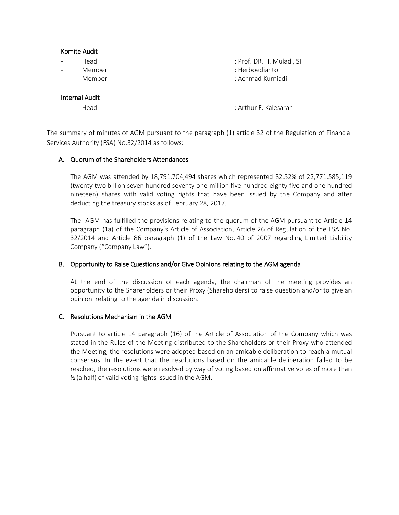#### Komite Audit

- Head : Prof. DR. H. Muladi, SH
- Member : Herboedianto
- Member : Achmad Kurniadi

#### Internal Audit

- Head : Arthur F. Kalesaran

The summary of minutes of AGM pursuant to the paragraph (1) article 32 of the Regulation of Financial Services Authority (FSA) No.32/2014 as follows:

# A. Quorum of the Shareholders Attendances

The AGM was attended by 18,791,704,494 shares which represented 82.52% of 22,771,585,119 (twenty two billion seven hundred seventy one million five hundred eighty five and one hundred nineteen) shares with valid voting rights that have been issued by the Company and after deducting the treasury stocks as of February 28, 2017.

The AGM has fulfilled the provisions relating to the quorum of the AGM pursuant to Article 14 paragraph (1a) of the Company's Article of Association, Article 26 of Regulation of the FSA No. 32/2014 and Article 86 paragraph (1) of the Law No. 40 of 2007 regarding Limited Liability Company ("Company Law").

#### B. Opportunity to Raise Questions and/or Give Opinions relating to the AGM agenda

At the end of the discussion of each agenda, the chairman of the meeting provides an opportunity to the Shareholders or their Proxy (Shareholders) to raise question and/or to give an opinion relating to the agenda in discussion.

#### C. Resolutions Mechanism in the AGM

Pursuant to article 14 paragraph (16) of the Article of Association of the Company which was stated in the Rules of the Meeting distributed to the Shareholders or their Proxy who attended the Meeting, the resolutions were adopted based on an amicable deliberation to reach a mutual consensus. In the event that the resolutions based on the amicable deliberation failed to be reached, the resolutions were resolved by way of voting based on affirmative votes of more than ½ (a half) of valid voting rights issued in the AGM.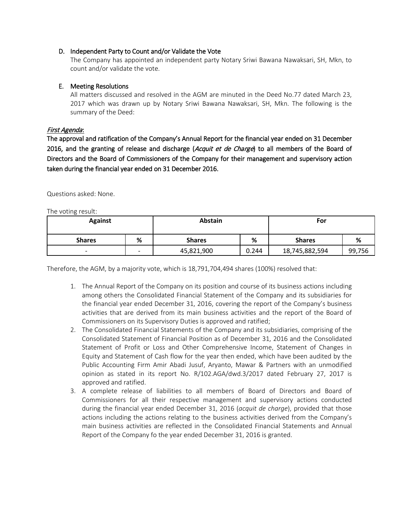### D. Independent Party to Count and/or Validate the Vote

The Company has appointed an independent party Notary Sriwi Bawana Nawaksari, SH, Mkn, to count and/or validate the vote.

# E. Meeting Resolutions

All matters discussed and resolved in the AGM are minuted in the Deed No.77 dated March 23, 2017 which was drawn up by Notary Sriwi Bawana Nawaksari, SH, Mkn. The following is the summary of the Deed:

# First Agenda:

The approval and ratification of the Company's Annual Report for the financial year ended on 31 December 2016, and the granting of release and discharge (Acquit et de Charge) to all members of the Board of Directors and the Board of Commissioners of the Company for their management and supervisory action taken during the financial year ended on 31 December 2016.

Questions asked: None.

The voting result:

| <b>Against</b>           |                          | Abstain       |       | For            |        |
|--------------------------|--------------------------|---------------|-------|----------------|--------|
| <b>Shares</b>            | %                        | <b>Shares</b> | %     | <b>Shares</b>  | %      |
| $\overline{\phantom{0}}$ | $\overline{\phantom{0}}$ | 45,821,900    | 0.244 | 18,745,882,594 | 99,756 |

Therefore, the AGM, by a majority vote, which is 18,791,704,494 shares (100%) resolved that:

- 1. The Annual Report of the Company on its position and course of its business actions including among others the Consolidated Financial Statement of the Company and its subsidiaries for the financial year ended December 31, 2016, covering the report of the Company's business activities that are derived from its main business activities and the report of the Board of Commissioners on its Supervisory Duties is approved and ratified;
- 2. The Consolidated Financial Statements of the Company and its subsidiaries, comprising of the Consolidated Statement of Financial Position as of December 31, 2016 and the Consolidated Statement of Profit or Loss and Other Comprehensive Income, Statement of Changes in Equity and Statement of Cash flow for the year then ended, which have been audited by the Public Accounting Firm Amir Abadi Jusuf, Aryanto, Mawar & Partners with an unmodified opinion as stated in its report No. R/102.AGA/dwd.3/2017 dated February 27, 2017 is approved and ratified.
- 3. A complete release of liabilities to all members of Board of Directors and Board of Commissioners for all their respective management and supervisory actions conducted during the financial year ended December 31, 2016 (*acquit de charge*), provided that those actions including the actions relating to the business activities derived from the Company's main business activities are reflected in the Consolidated Financial Statements and Annual Report of the Company fo the year ended December 31, 2016 is granted.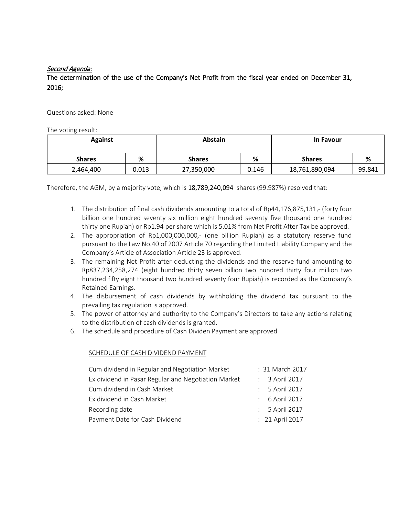# Second Agenda:

The determination of the use of the Company's Net Profit from the fiscal year ended on December 31, 2016;

Questions asked: None

The voting result:

| <b>Against</b> |       | <b>Abstain</b> |       | <b>In Favour</b> |        |  |
|----------------|-------|----------------|-------|------------------|--------|--|
| <b>Shares</b>  | %     | <b>Shares</b>  | %     | <b>Shares</b>    | %      |  |
| 2,464,400      | 0.013 | 27,350,000     | 0.146 | 18,761,890,094   | 99.841 |  |

Therefore, the AGM, by a majority vote, which is 18,789,240,094 shares (99.987%) resolved that:

- 1. The distribution of final cash dividends amounting to a total of Rp44,176,875,131,- (forty four billion one hundred seventy six million eight hundred seventy five thousand one hundred thirty one Rupiah) or Rp1.94 per share which is 5.01% from Net Profit After Tax be approved.
- 2. The appropriation of Rp1,000,000,000,- (one billion Rupiah) as a statutory reserve fund pursuant to the Law No.40 of 2007 Article 70 regarding the Limited Liability Company and the Company's Article of Association Article 23 is approved.
- 3. The remaining Net Profit after deducting the dividends and the reserve fund amounting to Rp837,234,258,274 (eight hundred thirty seven billion two hundred thirty four million two hundred fifty eight thousand two hundred seventy four Rupiah) is recorded as the Company's Retained Earnings.
- 4. The disbursement of cash dividends by withholding the dividend tax pursuant to the prevailing tax regulation is approved.
- 5. The power of attorney and authority to the Company's Directors to take any actions relating to the distribution of cash dividends is granted.
- 6. The schedule and procedure of Cash Dividen Payment are approved

### SCHEDULE OF CASH DIVIDEND PAYMENT

| Cum dividend in Regular and Negotiation Market      | : 31 March 2017 |
|-----------------------------------------------------|-----------------|
| Ex dividend in Pasar Regular and Negotiation Market | : 3 April 2017  |
| Cum dividend in Cash Market                         | : 5 April 2017  |
| Ex dividend in Cash Market                          | : 6 April 2017  |
| Recording date                                      | : 5 April 2017  |
| Payment Date for Cash Dividend                      | : 21 April 2017 |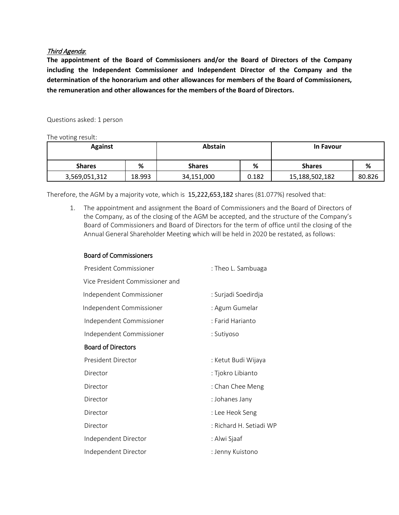### Third Agenda:

**The appointment of the Board of Commissioners and/or the Board of Directors of the Company including the Independent Commissioner and Independent Director of the Company and the determination of the honorarium and other allowances for members of the Board of Commissioners, the remuneration and other allowances for the members of the Board of Directors.**

Questions asked: 1 person

The voting result:

| <b>Against</b> |        | <b>Abstain</b> |       | <b>In Favour</b> |        |
|----------------|--------|----------------|-------|------------------|--------|
| <b>Shares</b>  | %      | <b>Shares</b>  | %     | <b>Shares</b>    | %      |
| 3,569,051,312  | 18.993 | 34,151,000     | 0.182 | 15,188,502,182   | 80.826 |

Therefore, the AGM by a majority vote, which is 15,222,653,182 shares (81.077%) resolved that:

1. The appointment and assignment the Board of Commissioners and the Board of Directors of the Company, as of the closing of the AGM be accepted, and the structure of the Company's Board of Commissioners and Board of Directors for the term of office until the closing of the Annual General Shareholder Meeting which will be held in 2020 be restated, as follows:

| <b>Board of Commissioners</b> |  |
|-------------------------------|--|
|-------------------------------|--|

| President Commissioner          | : Theo L. Sambuaga      |  |
|---------------------------------|-------------------------|--|
| Vice President Commissioner and |                         |  |
| Independent Commissioner        | : Surjadi Soedirdja     |  |
| Independent Commissioner        | : Agum Gumelar          |  |
| Independent Commissioner        | : Farid Harianto        |  |
| Independent Commissioner        | : Sutiyoso              |  |
| <b>Board of Directors</b>       |                         |  |
| President Director              | : Ketut Budi Wijaya     |  |
| Director                        | : Tjokro Libianto       |  |
| Director                        | : Chan Chee Meng        |  |
| Director                        | : Johanes Jany          |  |
| Director                        | : Lee Heok Seng         |  |
| Director                        | : Richard H. Setiadi WP |  |
| Independent Director            | : Alwi Sjaaf            |  |
| Independent Director            | : Jenny Kuistono        |  |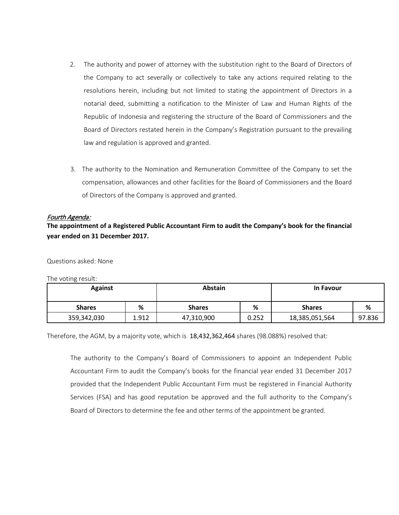- 2. The authority and power of attorney with the substitution right to the Board of Directors of the Company to act severally or collectively to take any actions required relating to the resolutions herein, including but not limited to stating the appointment of Directors in a notarial deed, submitting a notification to the Minister of Law and Human Rights of the Republic of Indonesia and registering the structure of the Board of Commissioners and the Board of Directors restated herein in the Company's Registration pursuant to the prevailing law and regulation is approved and granted.
- 3. The authority to the Nomination and Remuneration Committee of the Company to set the compensation, allowances and other facilities for the Board of Commissioners and the Board of Directors of the Company is approved and granted.

#### Fourth Agenda:

**The appointment of a Registered Public Accountant Firm to audit the Company's book for the financial year ended on 31 December 2017.** 

Questions asked: None

The voting result:

| <b>Against</b> |       | Abstain       |       | <b>In Favour</b> |        |  |
|----------------|-------|---------------|-------|------------------|--------|--|
| <b>Shares</b>  | %     | <b>Shares</b> | %     | <b>Shares</b>    | %      |  |
| 359,342,030    | 1.912 | 47,310,900    | 0.252 | 18,385,051,564   | 97.836 |  |

Therefore, the AGM, by a majority vote, which is 18,432,362,464 shares (98.088%) resolved that:

The authority to the Company's Board of Commissioners to appoint an Independent Public Accountant Firm to audit the Company's books for the financial year ended 31 December 2017 provided that the Independent Public Accountant Firm must be registered in Financial Authority Services (FSA) and has good reputation be approved and the full authority to the Company's Board of Directors to determine the fee and other terms of the appointment be granted.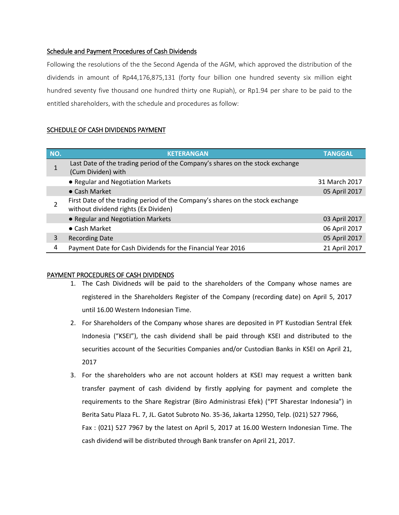# Schedule and Payment Procedures of Cash Dividends

Following the resolutions of the the Second Agenda of the AGM, which approved the distribution of the dividends in amount of Rp44,176,875,131 (forty four billion one hundred seventy six million eight hundred seventy five thousand one hundred thirty one Rupiah), or Rp1.94 per share to be paid to the entitled shareholders, with the schedule and procedures as follow:

#### SCHEDULE OF CASH DIVIDENDS PAYMENT

| NO. | <b>KETERANGAN</b>                                                                                                      | <b>TANGGAL</b> |
|-----|------------------------------------------------------------------------------------------------------------------------|----------------|
|     | Last Date of the trading period of the Company's shares on the stock exchange<br>(Cum Dividen) with                    |                |
|     | • Regular and Negotiation Markets                                                                                      | 31 March 2017  |
|     | $\bullet$ Cash Market                                                                                                  | 05 April 2017  |
|     | First Date of the trading period of the Company's shares on the stock exchange<br>without dividend rights (Ex Dividen) |                |
|     | • Regular and Negotiation Markets                                                                                      | 03 April 2017  |
|     | $\bullet$ Cash Market                                                                                                  | 06 April 2017  |
| 3   | <b>Recording Date</b>                                                                                                  | 05 April 2017  |
| 4   | Payment Date for Cash Dividends for the Financial Year 2016                                                            | 21 April 2017  |

#### PAYMENT PROCEDURES OF CASH DIVIDENDS

- 1. The Cash Dividneds will be paid to the shareholders of the Company whose names are registered in the Shareholders Register of the Company (recording date) on April 5, 2017 until 16.00 Western Indonesian Time.
- 2. For Shareholders of the Company whose shares are deposited in PT Kustodian Sentral Efek Indonesia ("KSEI"), the cash dividend shall be paid through KSEI and distributed to the securities account of the Securities Companies and/or Custodian Banks in KSEI on April 21, 2017
- 3. For the shareholders who are not account holders at KSEI may request a written bank transfer payment of cash dividend by firstly applying for payment and complete the requirements to the Share Registrar (Biro Administrasi Efek) ("PT Sharestar Indonesia") in Berita Satu Plaza FL. 7, JL. Gatot Subroto No. 35-36, Jakarta 12950, Telp. (021) 527 7966, Fax : (021) 527 7967 by the latest on April 5, 2017 at 16.00 Western Indonesian Time. The cash dividend will be distributed through Bank transfer on April 21, 2017.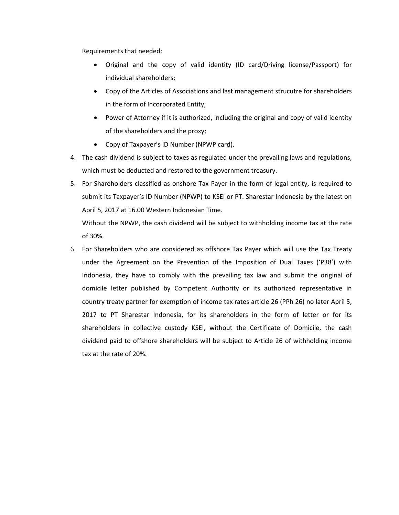Requirements that needed:

- Original and the copy of valid identity (ID card/Driving license/Passport) for individual shareholders;
- Copy of the Articles of Associations and last management strucutre for shareholders in the form of Incorporated Entity;
- Power of Attorney if it is authorized, including the original and copy of valid identity of the shareholders and the proxy;
- Copy of Taxpayer's ID Number (NPWP card).
- 4. The cash dividend is subject to taxes as regulated under the prevailing laws and regulations, which must be deducted and restored to the government treasury.
- 5. For Shareholders classified as onshore Tax Payer in the form of legal entity, is required to submit its Taxpayer's ID Number (NPWP) to KSEI or PT. Sharestar Indonesia by the latest on April 5, 2017 at 16.00 Western Indonesian Time.

Without the NPWP, the cash dividend will be subject to withholding income tax at the rate of 30%.

6. For Shareholders who are considered as offshore Tax Payer which will use the Tax Treaty under the Agreement on the Prevention of the Imposition of Dual Taxes ('P38') with Indonesia, they have to comply with the prevailing tax law and submit the original of domicile letter published by Competent Authority or its authorized representative in country treaty partner for exemption of income tax rates article 26 (PPh 26) no later April 5, 2017 to PT Sharestar Indonesia, for its shareholders in the form of letter or for its shareholders in collective custody KSEI, without the Certificate of Domicile, the cash dividend paid to offshore shareholders will be subject to Article 26 of withholding income tax at the rate of 20%.